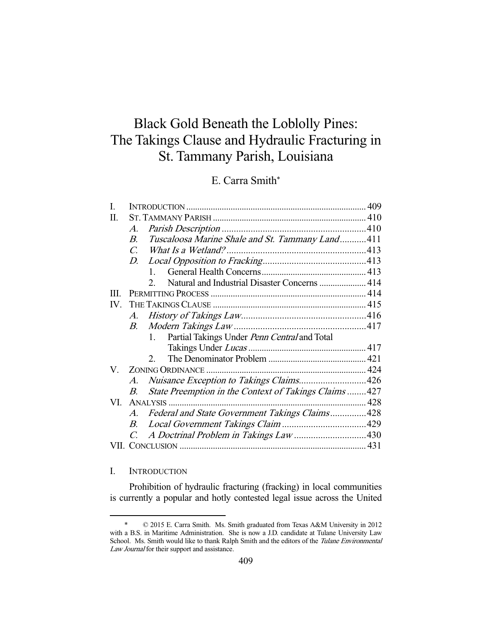# Black Gold Beneath the Loblolly Pines: The Takings Clause and Hydraulic Fracturing in St. Tammany Parish, Louisiana

## E. Carra Smith\*

| L        |                       |                                                              |  |
|----------|-----------------------|--------------------------------------------------------------|--|
| П.       |                       |                                                              |  |
|          | A.                    |                                                              |  |
|          | $\boldsymbol{B}$      | Tuscaloosa Marine Shale and St. Tammany Land411              |  |
|          |                       |                                                              |  |
|          | D.                    |                                                              |  |
|          |                       | $1 \quad$                                                    |  |
|          |                       | Natural and Industrial Disaster Concerns  414<br>$2^{\circ}$ |  |
| Ш        |                       |                                                              |  |
| $IV_{-}$ |                       |                                                              |  |
|          | A.                    |                                                              |  |
|          | В.                    |                                                              |  |
|          |                       | Partial Takings Under Penn Central and Total<br>$1_{-}$      |  |
|          |                       |                                                              |  |
|          |                       | $2^{\circ}$                                                  |  |
|          |                       |                                                              |  |
|          | A.                    | Nuisance Exception to Takings Claims426                      |  |
|          | В.                    | State Preemption in the Context of Takings Claims 427        |  |
| VI.      |                       |                                                              |  |
|          | $\mathcal{A}_{\cdot}$ | Federal and State Government Takings Claims428               |  |
|          | $B_{-}$               |                                                              |  |
|          | $C_{\cdot}$           |                                                              |  |
|          |                       |                                                              |  |
|          |                       |                                                              |  |

## I. INTRODUCTION

-

 Prohibition of hydraulic fracturing (fracking) in local communities is currently a popular and hotly contested legal issue across the United

 <sup>\* © 2015</sup> E. Carra Smith. Ms. Smith graduated from Texas A&M University in 2012 with a B.S. in Maritime Administration. She is now a J.D. candidate at Tulane University Law School. Ms. Smith would like to thank Ralph Smith and the editors of the Tulane Environmental Law Journal for their support and assistance.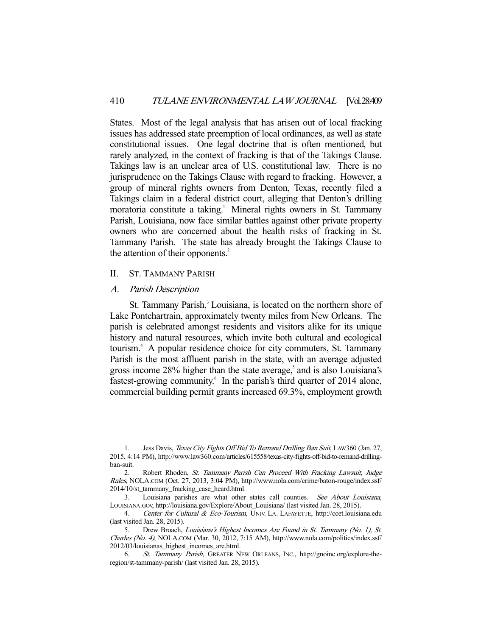States. Most of the legal analysis that has arisen out of local fracking issues has addressed state preemption of local ordinances, as well as state constitutional issues. One legal doctrine that is often mentioned, but rarely analyzed, in the context of fracking is that of the Takings Clause. Takings law is an unclear area of U.S. constitutional law. There is no jurisprudence on the Takings Clause with regard to fracking. However, a group of mineral rights owners from Denton, Texas, recently filed a Takings claim in a federal district court, alleging that Denton's drilling moratoria constitute a taking.<sup>1</sup> Mineral rights owners in St. Tammany Parish, Louisiana, now face similar battles against other private property owners who are concerned about the health risks of fracking in St. Tammany Parish. The state has already brought the Takings Clause to the attention of their opponents.<sup>2</sup>

## II. ST. TAMMANY PARISH

### A. Parish Description

-

St. Tammany Parish,<sup>3</sup> Louisiana, is located on the northern shore of Lake Pontchartrain, approximately twenty miles from New Orleans. The parish is celebrated amongst residents and visitors alike for its unique history and natural resources, which invite both cultural and ecological tourism.4 A popular residence choice for city commuters, St. Tammany Parish is the most affluent parish in the state, with an average adjusted gross income 28% higher than the state average,<sup>5</sup> and is also Louisiana's fastest-growing community.<sup>6</sup> In the parish's third quarter of 2014 alone, commercial building permit grants increased 69.3%, employment growth

<sup>1.</sup> Jess Davis, Texas City Fights Off Bid To Remand Drilling Ban Suit, LAW360 (Jan. 27, 2015, 4:14 PM), http://www.law360.com/articles/615558/texas-city-fights-off-bid-to-remand-drillingban-suit.

<sup>2.</sup> Robert Rhoden, St. Tammany Parish Can Proceed With Fracking Lawsuit, Judge Rules, NOLA.COM (Oct. 27, 2013, 3:04 PM), http://www.nola.com/crime/baton-rouge/index.ssf/ 2014/10/st\_tammany\_fracking\_case\_heard.html.

 <sup>3.</sup> Louisiana parishes are what other states call counties. See About Louisiana, LOUISIANA.GOV, http://louisiana.gov/Explore/About\_Louisiana/ (last visited Jan. 28, 2015).

<sup>4.</sup> Center for Cultural & Eco-Tourism, UNIV. LA. LAFAYETTE, http://ccet.louisiana.edu (last visited Jan. 28, 2015).

 <sup>5.</sup> Drew Broach, Louisiana's Highest Incomes Are Found in St. Tammany (No. 1), St. Charles (No. 4), NOLA.COM (Mar. 30, 2012, 7:15 AM), http://www.nola.com/politics/index.ssf/ 2012/03/louisianas\_highest\_incomes\_are.html.

 <sup>6.</sup> St. Tammany Parish, GREATER NEW ORLEANS, INC., http://gnoinc.org/explore-theregion/st-tammany-parish/ (last visited Jan. 28, 2015).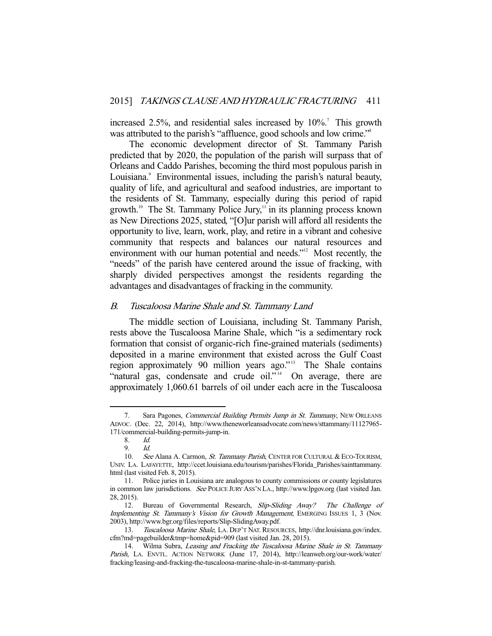increased 2.5%, and residential sales increased by  $10\%$ .<sup>7</sup> This growth was attributed to the parish's "affluence, good schools and low crime."<sup>8</sup>

 The economic development director of St. Tammany Parish predicted that by 2020, the population of the parish will surpass that of Orleans and Caddo Parishes, becoming the third most populous parish in Louisiana.<sup>9</sup> Environmental issues, including the parish's natural beauty, quality of life, and agricultural and seafood industries, are important to the residents of St. Tammany, especially during this period of rapid growth.<sup>10</sup> The St. Tammany Police Jury,<sup>11</sup> in its planning process known as New Directions 2025, stated, "[O]ur parish will afford all residents the opportunity to live, learn, work, play, and retire in a vibrant and cohesive community that respects and balances our natural resources and environment with our human potential and needs."<sup>12</sup> Most recently, the "needs" of the parish have centered around the issue of fracking, with sharply divided perspectives amongst the residents regarding the advantages and disadvantages of fracking in the community.

## B. Tuscaloosa Marine Shale and St. Tammany Land

 The middle section of Louisiana, including St. Tammany Parish, rests above the Tuscaloosa Marine Shale, which "is a sedimentary rock formation that consist of organic-rich fine-grained materials (sediments) deposited in a marine environment that existed across the Gulf Coast region approximately 90 million years ago."<sup>13</sup> The Shale contains "natural gas, condensate and crude oil."<sup>14</sup> On average, there are approximately 1,060.61 barrels of oil under each acre in the Tuscaloosa

<sup>7.</sup> Sara Pagones, *Commercial Building Permits Jump in St. Tammany*, NEW ORLEANS ADVOC. (Dec. 22, 2014), http://www.theneworleansadvocate.com/news/sttammany/11127965- 171/commercial-building-permits-jump-in.

<sup>8.</sup> *Id.*<br>9. *Id.* 

 <sup>9.</sup> Id.

<sup>10.</sup> See Alana A. Carmon, St. Tammany Parish, CENTER FOR CULTURAL & ECO-TOURISM, UNIV. LA. LAFAYETTE, http://ccet.louisiana.edu/tourism/parishes/Florida\_Parishes/sainttammany. html (last visited Feb. 8, 2015).

 <sup>11.</sup> Police juries in Louisiana are analogous to county commissions or county legislatures in common law jurisdictions. See POLICE JURY ASS'N LA., http://www.lpgov.org (last visited Jan. 28, 2015).

 <sup>12.</sup> Bureau of Governmental Research, Slip-Sliding Away? The Challenge of Implementing St. Tammany's Vision for Growth Management, EMERGING ISSUES 1, 3 (Nov. 2003), http://www.bgr.org/files/reports/Slip-SlidingAway.pdf.

 <sup>13.</sup> Tuscaloosa Marine Shale, LA. DEP'T NAT. RESOURCES, http://dnr.louisiana.gov/index. cfm?md=pagebuilder&tmp=home&pid=909 (last visited Jan. 28, 2015).

<sup>14.</sup> Wilma Subra, Leasing and Fracking the Tuscaloosa Marine Shale in St. Tammany Parish, LA. ENVTL. ACTION NETWORK (June 17, 2014), http://leanweb.org/our-work/water/ fracking/leasing-and-fracking-the-tuscaloosa-marine-shale-in-st-tammany-parish.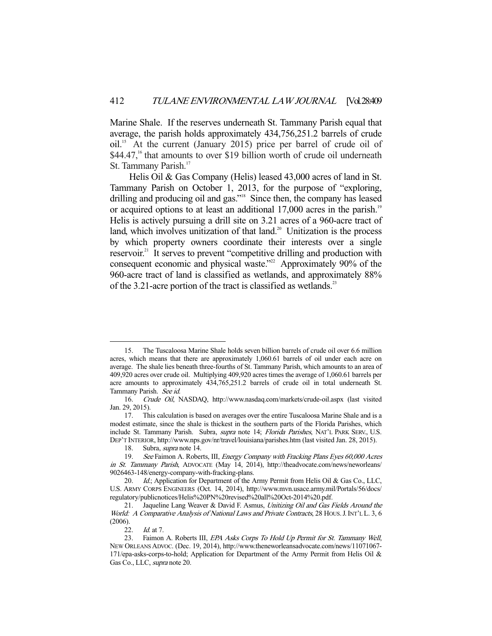Marine Shale. If the reserves underneath St. Tammany Parish equal that average, the parish holds approximately 434,756,251.2 barrels of crude oil.15 At the current (January 2015) price per barrel of crude oil of  $$44.47$ <sup>16</sup> that amounts to over \$19 billion worth of crude oil underneath St. Tammany Parish.<sup>17</sup>

 Helis Oil & Gas Company (Helis) leased 43,000 acres of land in St. Tammany Parish on October 1, 2013, for the purpose of "exploring, drilling and producing oil and gas."<sup>18</sup> Since then, the company has leased or acquired options to at least an additional 17,000 acres in the parish.<sup>19</sup> Helis is actively pursuing a drill site on 3.21 acres of a 960-acre tract of land, which involves unitization of that land.<sup>20</sup> Unitization is the process by which property owners coordinate their interests over a single reservoir.<sup>21</sup> It serves to prevent "competitive drilling and production with consequent economic and physical waste."<sup>22</sup> Approximately 90% of the 960-acre tract of land is classified as wetlands, and approximately 88% of the 3.21-acre portion of the tract is classified as wetlands.<sup>23</sup>

22. Id. at 7.

 <sup>15.</sup> The Tuscaloosa Marine Shale holds seven billion barrels of crude oil over 6.6 million acres, which means that there are approximately 1,060.61 barrels of oil under each acre on average. The shale lies beneath three-fourths of St. Tammany Parish, which amounts to an area of 409,920 acres over crude oil. Multiplying 409,920 acres times the average of 1,060.61 barrels per acre amounts to approximately 434,765,251.2 barrels of crude oil in total underneath St. Tammany Parish. See id.

 <sup>16.</sup> Crude Oil, NASDAQ, http://www.nasdaq.com/markets/crude-oil.aspx (last visited Jan. 29, 2015).

 <sup>17.</sup> This calculation is based on averages over the entire Tuscaloosa Marine Shale and is a modest estimate, since the shale is thickest in the southern parts of the Florida Parishes, which include St. Tammany Parish. Subra, supra note 14; Florida Parishes, NAT'L PARK SERV., U.S. DEP'T INTERIOR, http://www.nps.gov/nr/travel/louisiana/parishes.htm (last visited Jan. 28, 2015).

<sup>18.</sup> Subra, *supra* note 14.<br>19. See Faimon A. Rober

See Faimon A. Roberts, III, Energy Company with Fracking Plans Eyes 60,000 Acres in St. Tammany Parish, ADVOCATE (May 14, 2014), http://theadvocate.com/news/neworleans/ 9026463-148/energy-company-with-fracking-plans.

<sup>20.</sup> *Id.*; Application for Department of the Army Permit from Helis Oil & Gas Co., LLC, U.S. ARMY CORPS ENGINEERS (Oct. 14, 2014), http://www.mvn.usace.army.mil/Portals/56/docs/ regulatory/publicnotices/Helis%20PN%20revised%20all%20Oct-2014%20.pdf.

<sup>21.</sup> Jaqueline Lang Weaver & David F. Asmus, Unitizing Oil and Gas Fields Around the World: A Comparative Analysis of National Laws and Private Contracts, 28 HOUS. J. INT'L L. 3, 6 (2006).

<sup>23.</sup> Faimon A. Roberts III, EPA Asks Corps To Hold Up Permit for St. Tammany Well, NEW ORLEANS ADVOC. (Dec. 19, 2014), http://www.theneworleansadvocate.com/news/11071067- 171/epa-asks-corps-to-hold; Application for Department of the Army Permit from Helis Oil & Gas Co., LLC, *supra* note 20.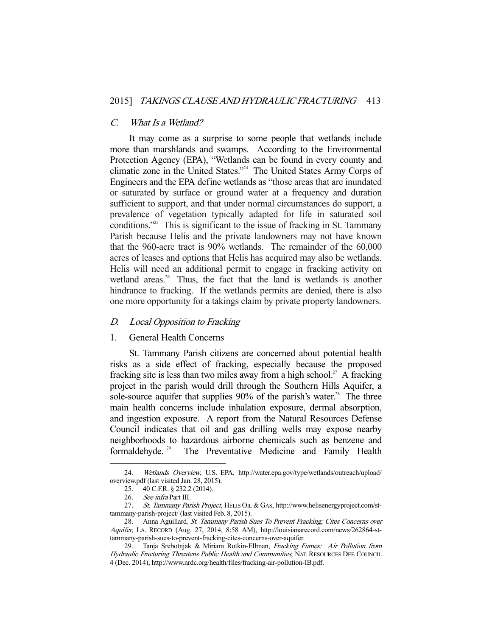#### C. What Is a Wetland?

 It may come as a surprise to some people that wetlands include more than marshlands and swamps. According to the Environmental Protection Agency (EPA), "Wetlands can be found in every county and climatic zone in the United States."24 The United States Army Corps of Engineers and the EPA define wetlands as "those areas that are inundated or saturated by surface or ground water at a frequency and duration sufficient to support, and that under normal circumstances do support, a prevalence of vegetation typically adapted for life in saturated soil conditions."25 This is significant to the issue of fracking in St. Tammany Parish because Helis and the private landowners may not have known that the 960-acre tract is 90% wetlands. The remainder of the 60,000 acres of leases and options that Helis has acquired may also be wetlands. Helis will need an additional permit to engage in fracking activity on wetland areas.<sup>26</sup> Thus, the fact that the land is wetlands is another hindrance to fracking. If the wetlands permits are denied, there is also one more opportunity for a takings claim by private property landowners.

## D. Local Opposition to Fracking

### 1. General Health Concerns

 St. Tammany Parish citizens are concerned about potential health risks as a side effect of fracking, especially because the proposed fracking site is less than two miles away from a high school.<sup>27</sup> A fracking project in the parish would drill through the Southern Hills Aquifer, a sole-source aquifer that supplies 90% of the parish's water.<sup>28</sup> The three main health concerns include inhalation exposure, dermal absorption, and ingestion exposure. A report from the Natural Resources Defense Council indicates that oil and gas drilling wells may expose nearby neighborhoods to hazardous airborne chemicals such as benzene and formaldehyde. 29 The Preventative Medicine and Family Health

 <sup>24.</sup> Wetlands Overview, U.S. EPA, http://water.epa.gov/type/wetlands/outreach/upload/ overview.pdf (last visited Jan. 28, 2015).

 <sup>25. 40</sup> C.F.R. § 232.2 (2014).

<sup>26.</sup> See infra Part III.

 <sup>27.</sup> St. Tammany Parish Project, HELIS OIL & GAS, http://www.helisenergyproject.com/sttammany-parish-project/ (last visited Feb. 8, 2015).

 <sup>28.</sup> Anna Aguillard, St. Tammany Parish Sues To Prevent Fracking; Cites Concerns over Aquifer, LA. RECORD (Aug. 27, 2014, 8:58 AM), http://louisianarecord.com/news/262864-sttammany-parish-sues-to-prevent-fracking-cites-concerns-over-aquifer.

<sup>29.</sup> Tanja Srebotnjak & Miriam Rotkin-Ellman, Fracking Fumes: Air Pollution from Hydraulic Fracturing Threatens Public Health and Communities, NAT. RESOURCES DEF. COUNCIL 4 (Dec. 2014), http://www.nrdc.org/health/files/fracking-air-pollution-IB.pdf.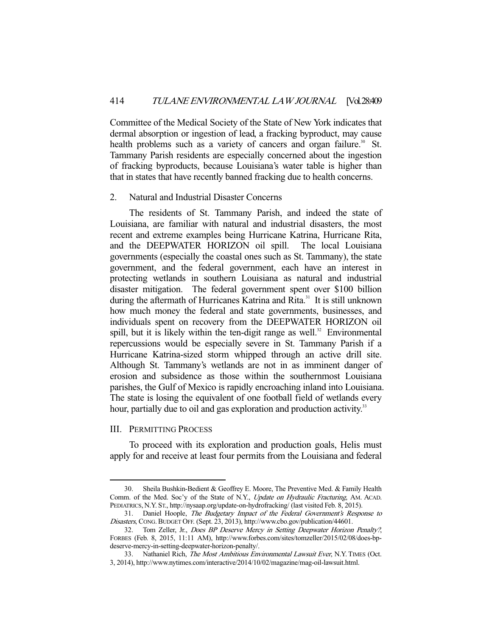Committee of the Medical Society of the State of New York indicates that dermal absorption or ingestion of lead, a fracking byproduct, may cause health problems such as a variety of cancers and organ failure.<sup>30</sup> St. Tammany Parish residents are especially concerned about the ingestion of fracking byproducts, because Louisiana's water table is higher than that in states that have recently banned fracking due to health concerns.

#### 2. Natural and Industrial Disaster Concerns

 The residents of St. Tammany Parish, and indeed the state of Louisiana, are familiar with natural and industrial disasters, the most recent and extreme examples being Hurricane Katrina, Hurricane Rita, and the DEEPWATER HORIZON oil spill. The local Louisiana governments (especially the coastal ones such as St. Tammany), the state government, and the federal government, each have an interest in protecting wetlands in southern Louisiana as natural and industrial disaster mitigation. The federal government spent over \$100 billion during the aftermath of Hurricanes Katrina and Rita.<sup>31</sup> It is still unknown how much money the federal and state governments, businesses, and individuals spent on recovery from the DEEPWATER HORIZON oil spill, but it is likely within the ten-digit range as well. $32$  Environmental repercussions would be especially severe in St. Tammany Parish if a Hurricane Katrina-sized storm whipped through an active drill site. Although St. Tammany's wetlands are not in as imminent danger of erosion and subsidence as those within the southernmost Louisiana parishes, the Gulf of Mexico is rapidly encroaching inland into Louisiana. The state is losing the equivalent of one football field of wetlands every hour, partially due to oil and gas exploration and production activity.<sup>33</sup>

## III. PERMITTING PROCESS

-

 To proceed with its exploration and production goals, Helis must apply for and receive at least four permits from the Louisiana and federal

 <sup>30.</sup> Sheila Bushkin-Bedient & Geoffrey E. Moore, The Preventive Med. & Family Health Comm. of the Med. Soc'y of the State of N.Y., Update on Hydraulic Fracturing, AM. ACAD. PEDIATRICS, N.Y. ST., http://nysaap.org/update-on-hydrofracking/ (last visited Feb. 8, 2015).

<sup>31.</sup> Daniel Hoople, The Budgetary Impact of the Federal Government's Response to Disasters, CONG.BUDGET OFF. (Sept. 23, 2013), http://www.cbo.gov/publication/44601.

 <sup>32.</sup> Tom Zeller, Jr., Does BP Deserve Mercy in Setting Deepwater Horizon Penalty?, FORBES (Feb. 8, 2015, 11:11 AM), http://www.forbes.com/sites/tomzeller/2015/02/08/does-bpdeserve-mercy-in-setting-deepwater-horizon-penalty/.

<sup>33.</sup> Nathaniel Rich, The Most Ambitious Environmental Lawsuit Ever, N.Y. TIMES (Oct. 3, 2014), http://www.nytimes.com/interactive/2014/10/02/magazine/mag-oil-lawsuit.html.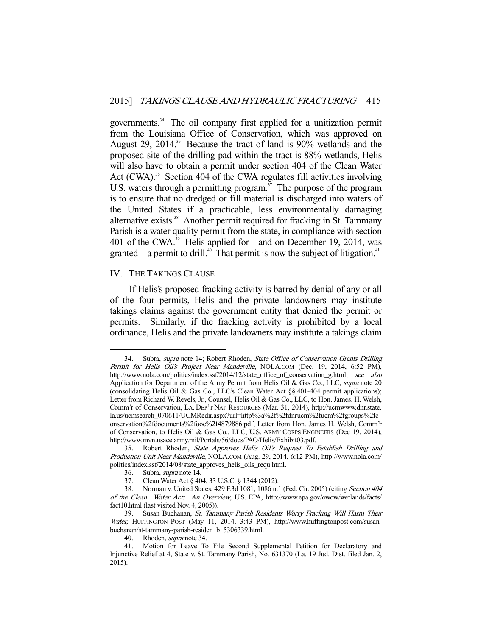governments.34 The oil company first applied for a unitization permit from the Louisiana Office of Conservation, which was approved on August 29, 2014.<sup>35</sup> Because the tract of land is 90% wetlands and the proposed site of the drilling pad within the tract is 88% wetlands, Helis will also have to obtain a permit under section 404 of the Clean Water Act (CWA).<sup>36</sup> Section 404 of the CWA regulates fill activities involving U.S. waters through a permitting program.<sup>37</sup> The purpose of the program is to ensure that no dredged or fill material is discharged into waters of the United States if a practicable, less environmentally damaging alternative exists.<sup>38</sup> Another permit required for fracking in St. Tammany Parish is a water quality permit from the state, in compliance with section 401 of the CWA.<sup>39</sup> Helis applied for—and on December 19, 2014, was granted—a permit to drill.<sup>40</sup> That permit is now the subject of litigation.<sup>41</sup>

## IV. THE TAKINGS CLAUSE

-

 If Helis's proposed fracking activity is barred by denial of any or all of the four permits, Helis and the private landowners may institute takings claims against the government entity that denied the permit or permits. Similarly, if the fracking activity is prohibited by a local ordinance, Helis and the private landowners may institute a takings claim

<sup>34.</sup> Subra, *supra* note 14; Robert Rhoden, *State Office of Conservation Grants Drilling* Permit for Helis Oil's Project Near Mandeville, NOLA.COM (Dec. 19, 2014, 6:52 PM), http://www.nola.com/politics/index.ssf/2014/12/state\_office\_of\_conservation\_g.html; see also Application for Department of the Army Permit from Helis Oil & Gas Co., LLC, supra note 20 (consolidating Helis Oil & Gas Co., LLC's Clean Water Act §§ 401-404 permit applications); Letter from Richard W. Revels, Jr., Counsel, Helis Oil & Gas Co., LLC, to Hon. James. H. Welsh, Comm'r of Conservation, LA. DEP'T NAT. RESOURCES (Mar. 31, 2014), http://ucmwww.dnr.state. la.us/ucmsearch\_070611/UCMRedir.aspx?url=http%3a%2f%2fdnrucm%2fucm%2fgroups%2fc onservation%2fdocuments%2fooc%2f4879886.pdf; Letter from Hon. James H. Welsh, Comm'r of Conservation, to Helis Oil & Gas Co., LLC, U.S. ARMY CORPS ENGINEERS (Dec 19, 2014), http://www.mvn.usace.army.mil/Portals/56/docs/PAO/Helis/Exhibit03.pdf.

 <sup>35.</sup> Robert Rhoden, State Approves Helis Oil's Request To Establish Drilling and Production Unit Near Mandeville, NOLA.COM (Aug. 29, 2014, 6:12 PM), http://www.nola.com/ politics/index.ssf/2014/08/state\_approves\_helis\_oils\_requ.html.

 <sup>36.</sup> Subra, supra note 14.

 <sup>37.</sup> Clean Water Act § 404, 33 U.S.C. § 1344 (2012).

 <sup>38.</sup> Norman v. United States, 429 F.3d 1081, 1086 n.1 (Fed. Cir. 2005) (citing Section 404 of the Clean Water Act: An Overview, U.S. EPA, http://www.epa.gov/owow/wetlands/facts/ fact10.html (last visited Nov. 4, 2005)).

 <sup>39.</sup> Susan Buchanan, St. Tammany Parish Residents Worry Fracking Will Harm Their Water, HUFFINGTON POST (May 11, 2014, 3:43 PM), http://www.huffingtonpost.com/susanbuchanan/st-tammany-parish-residen\_b\_5306339.html.

 <sup>40.</sup> Rhoden, supra note 34.

 <sup>41.</sup> Motion for Leave To File Second Supplemental Petition for Declaratory and Injunctive Relief at 4, State v. St. Tammany Parish, No. 631370 (La. 19 Jud. Dist. filed Jan. 2, 2015).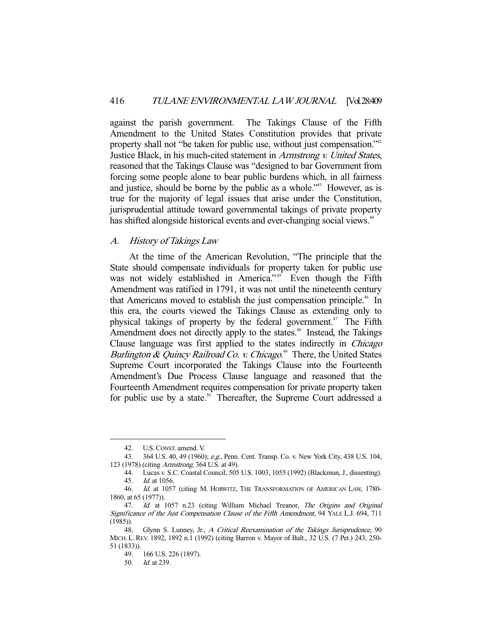against the parish government. The Takings Clause of the Fifth Amendment to the United States Constitution provides that private property shall not "be taken for public use, without just compensation."<sup>42</sup> Justice Black, in his much-cited statement in Armstrong v. United States, reasoned that the Takings Clause was "designed to bar Government from forcing some people alone to bear public burdens which, in all fairness and justice, should be borne by the public as a whole.<sup>343</sup> However, as is true for the majority of legal issues that arise under the Constitution, jurisprudential attitude toward governmental takings of private property has shifted alongside historical events and ever-changing social views.<sup>44</sup>

## A. History of Takings Law

 At the time of the American Revolution, "The principle that the State should compensate individuals for property taken for public use was not widely established in America."<sup>45</sup> Even though the Fifth Amendment was ratified in 1791, it was not until the nineteenth century that Americans moved to establish the just compensation principle.<sup>46</sup> In this era, the courts viewed the Takings Clause as extending only to physical takings of property by the federal government.<sup> $47$ </sup> The Fifth Amendment does not directly apply to the states.<sup>48</sup> Instead, the Takings Clause language was first applied to the states indirectly in Chicago Burlington & Quincy Railroad Co. v. Chicago.<sup>49</sup> There, the United States Supreme Court incorporated the Takings Clause into the Fourteenth Amendment's Due Process Clause language and reasoned that the Fourteenth Amendment requires compensation for private property taken for public use by a state.<sup>50</sup> Thereafter, the Supreme Court addressed a

 <sup>42.</sup> U.S.CONST. amend. V.

 <sup>43. 364</sup> U.S. 40, 49 (1960); e.g., Penn. Cent. Transp. Co. v. New York City, 438 U.S. 104, 123 (1978) (citing Armstrong, 364 U.S. at 49).

 <sup>44.</sup> Lucas v. S.C. Coastal Council, 505 U.S. 1003, 1055 (1992) (Blackmun, J., dissenting). 45. Id. at 1056.

 <sup>46.</sup> Id. at 1057 (citing M. HORWITZ, THE TRANSFORMATION OF AMERICAN LAW, 1780- 1860, at 65 (1977)).

<sup>47.</sup> Id. at 1057 n.23 (citing William Michael Treanor, The Origins and Original Significance of the Just Compensation Clause of the Fifth Amendment, 94 YALE L.J. 694, 711 (1985)).

<sup>48.</sup> Glynn S. Lunney, Jr., A Critical Reexamination of the Takings Jurisprudence, 90 MICH. L.REV. 1892, 1892 n.1 (1992) (citing Barron v. Mayor of Balt., 32 U.S. (7 Pet.) 243, 250- 51 (1833)).

 <sup>49. 166</sup> U.S. 226 (1897).

 <sup>50.</sup> Id. at 239.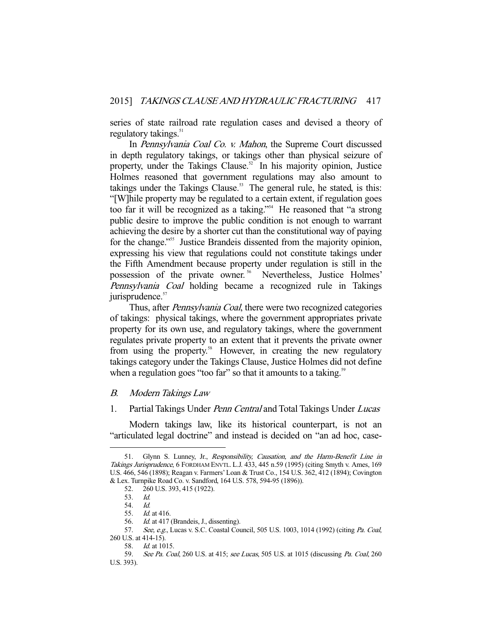series of state railroad rate regulation cases and devised a theory of regulatory takings.<sup>51</sup>

 In Pennsylvania Coal Co. v. Mahon, the Supreme Court discussed in depth regulatory takings, or takings other than physical seizure of property, under the Takings Clause.<sup>52</sup> In his majority opinion, Justice Holmes reasoned that government regulations may also amount to takings under the Takings Clause.<sup>53</sup> The general rule, he stated, is this: "[W]hile property may be regulated to a certain extent, if regulation goes too far it will be recognized as a taking."54 He reasoned that "a strong public desire to improve the public condition is not enough to warrant achieving the desire by a shorter cut than the constitutional way of paying for the change."<sup>55</sup> Justice Brandeis dissented from the majority opinion, expressing his view that regulations could not constitute takings under the Fifth Amendment because property under regulation is still in the possession of the private owner.<sup>56</sup> Nevertheless, Justice Holmes' Pennsylvania Coal holding became a recognized rule in Takings jurisprudence.<sup>57</sup>

Thus, after *Pennsylvania Coal*, there were two recognized categories of takings: physical takings, where the government appropriates private property for its own use, and regulatory takings, where the government regulates private property to an extent that it prevents the private owner from using the property.<sup>58</sup> However, in creating the new regulatory takings category under the Takings Clause, Justice Holmes did not define when a regulation goes "too far" so that it amounts to a taking.<sup>59</sup>

## B. Modern Takings Law

## 1. Partial Takings Under *Penn Central* and Total Takings Under *Lucas*

 Modern takings law, like its historical counterpart, is not an "articulated legal doctrine" and instead is decided on "an ad hoc, case-

<sup>51.</sup> Glynn S. Lunney, Jr., Responsibility, Causation, and the Harm-Benefit Line in Takings Jurisprudence, 6 FORDHAM ENVTL. L.J. 433, 445 n.59 (1995) (citing Smyth v. Ames, 169 U.S. 466, 546 (1898); Reagan v. Farmers' Loan & Trust Co., 154 U.S. 362, 412 (1894); Covington & Lex. Turnpike Road Co. v. Sandford, 164 U.S. 578, 594-95 (1896)).

 <sup>52. 260</sup> U.S. 393, 415 (1922).

 <sup>53.</sup> Id.

 <sup>54.</sup> Id.

<sup>55.</sup> *Id.* at 416.<br>56. *Id.* at 417

Id. at 417 (Brandeis, J., dissenting).

<sup>57.</sup> See, e.g., Lucas v. S.C. Coastal Council, 505 U.S. 1003, 1014 (1992) (citing Pa. Coal, 260 U.S. at 414-15).

 <sup>58.</sup> Id. at 1015.

<sup>59.</sup> See Pa. Coal, 260 U.S. at 415; see Lucas, 505 U.S. at 1015 (discussing Pa. Coal, 260 U.S. 393).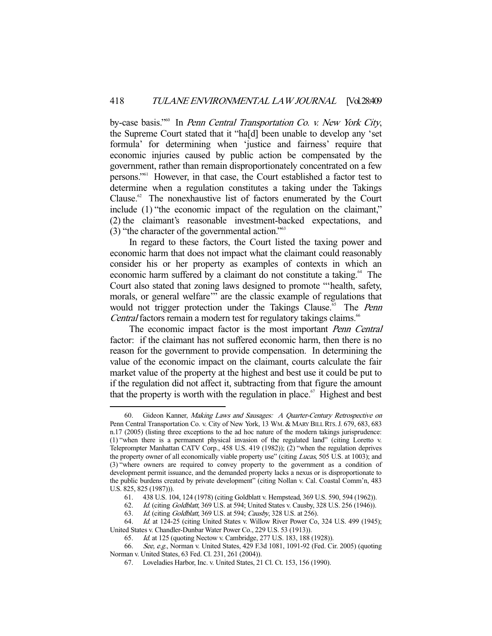by-case basis."<sup>60</sup> In Penn Central Transportation Co. v. New York City, the Supreme Court stated that it "ha[d] been unable to develop any 'set formula' for determining when 'justice and fairness' require that economic injuries caused by public action be compensated by the government, rather than remain disproportionately concentrated on a few persons."61 However, in that case, the Court established a factor test to determine when a regulation constitutes a taking under the Takings Clause.<sup>62</sup> The nonexhaustive list of factors enumerated by the Court include (1) "the economic impact of the regulation on the claimant," (2) the claimant's reasonable investment-backed expectations, and (3) "the character of the governmental action."63

 In regard to these factors, the Court listed the taxing power and economic harm that does not impact what the claimant could reasonably consider his or her property as examples of contexts in which an economic harm suffered by a claimant do not constitute a taking.<sup>64</sup> The Court also stated that zoning laws designed to promote "'health, safety, morals, or general welfare'" are the classic example of regulations that would not trigger protection under the Takings Clause.<sup> $55$ </sup> The *Penn* Central factors remain a modern test for regulatory takings claims.<sup>66</sup>

The economic impact factor is the most important *Penn Central* factor: if the claimant has not suffered economic harm, then there is no reason for the government to provide compensation. In determining the value of the economic impact on the claimant, courts calculate the fair market value of the property at the highest and best use it could be put to if the regulation did not affect it, subtracting from that figure the amount that the property is worth with the regulation in place.<sup>67</sup> Highest and best

<sup>60.</sup> Gideon Kanner, Making Laws and Sausages: A Quarter-Century Retrospective on Penn Central Transportation Co. v. City of New York, 13 WM. & MARY BILL RTS.J. 679, 683, 683 n.17 (2005) (listing three exceptions to the ad hoc nature of the modern takings jurisprudence: (1) "when there is a permanent physical invasion of the regulated land" (citing Loretto v. Teleprompter Manhattan CATV Corp., 458 U.S. 419 (1982)); (2) "when the regulation deprives the property owner of all economically viable property use" (citing Lucas, 505 U.S. at 1003); and (3) "where owners are required to convey property to the government as a condition of development permit issuance, and the demanded property lacks a nexus or is disproportionate to the public burdens created by private development" (citing Nollan v. Cal. Coastal Comm'n, 483 U.S. 825, 825 (1987))).

 <sup>61. 438</sup> U.S. 104, 124 (1978) (citing Goldblatt v. Hempstead, 369 U.S. 590, 594 (1962)).

 <sup>62.</sup> Id. (citing Goldblatt, 369 U.S. at 594; United States v. Causby, 328 U.S. 256 (1946)).

 <sup>63.</sup> Id. (citing Goldblatt, 369 U.S. at 594; Causby, 328 U.S. at 256).

 <sup>64.</sup> Id. at 124-25 (citing United States v. Willow River Power Co, 324 U.S. 499 (1945); United States v. Chandler-Dunbar Water Power Co., 229 U.S. 53 (1913)).

 <sup>65.</sup> Id. at 125 (quoting Nectow v. Cambridge, 277 U.S. 183, 188 (1928)).

<sup>66.</sup> See, e.g., Norman v. United States, 429 F.3d 1081, 1091-92 (Fed. Cir. 2005) (quoting Norman v. United States, 63 Fed. Cl. 231, 261 (2004)).

 <sup>67.</sup> Loveladies Harbor, Inc. v. United States, 21 Cl. Ct. 153, 156 (1990).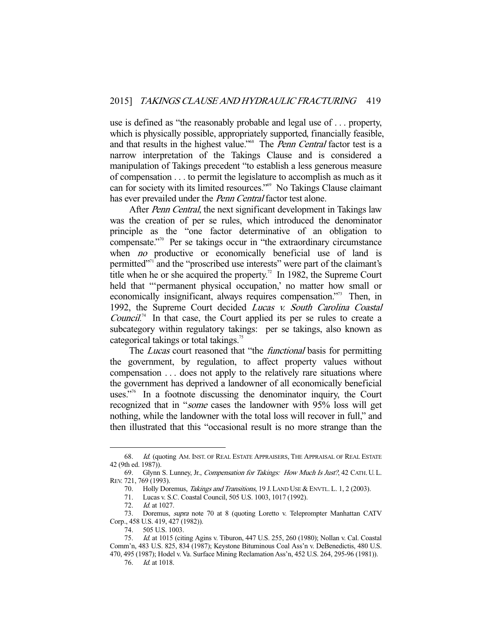use is defined as "the reasonably probable and legal use of . . . property, which is physically possible, appropriately supported, financially feasible, and that results in the highest value."<sup>68</sup> The *Penn Central* factor test is a narrow interpretation of the Takings Clause and is considered a manipulation of Takings precedent "to establish a less generous measure of compensation . . . to permit the legislature to accomplish as much as it can for society with its limited resources."69 No Takings Clause claimant has ever prevailed under the *Penn Central* factor test alone.

After *Penn Central*, the next significant development in Takings law was the creation of per se rules, which introduced the denominator principle as the "one factor determinative of an obligation to compensate."70 Per se takings occur in "the extraordinary circumstance when *no* productive or economically beneficial use of land is permitted"71 and the "proscribed use interests" were part of the claimant's title when he or she acquired the property.<sup>72</sup> In 1982, the Supreme Court held that "'permanent physical occupation,' no matter how small or economically insignificant, always requires compensation."<sup>3</sup> Then, in 1992, the Supreme Court decided Lucas v. South Carolina Coastal *Council.*<sup>74</sup> In that case, the Court applied its per se rules to create a subcategory within regulatory takings: per se takings, also known as categorical takings or total takings.<sup>75</sup>

The *Lucas* court reasoned that "the *functional* basis for permitting the government, by regulation, to affect property values without compensation . . . does not apply to the relatively rare situations where the government has deprived a landowner of all economically beneficial uses."<sup>76</sup> In a footnote discussing the denominator inquiry, the Court recognized that in "some cases the landowner with 95% loss will get nothing, while the landowner with the total loss will recover in full," and then illustrated that this "occasional result is no more strange than the

<sup>68.</sup> Id. (quoting AM. INST. OF REAL ESTATE APPRAISERS, THE APPRAISAL OF REAL ESTATE 42 (9th ed. 1987)).

 <sup>69.</sup> Glynn S. Lunney, Jr., Compensation for Takings: How Much Is Just?, 42 CATH. U.L. REV. 721, 769 (1993).

 <sup>70.</sup> Holly Doremus, Takings and Transitions, 19 J. LAND USE & ENVTL. L. 1, 2 (2003).

 <sup>71.</sup> Lucas v. S.C. Coastal Council, 505 U.S. 1003, 1017 (1992).

 <sup>72.</sup> Id. at 1027.

<sup>73.</sup> Doremus, *supra* note 70 at 8 (quoting Loretto v. Teleprompter Manhattan CATV Corp., 458 U.S. 419, 427 (1982)).

 <sup>74. 505</sup> U.S. 1003.

 <sup>75.</sup> Id. at 1015 (citing Agins v. Tiburon, 447 U.S. 255, 260 (1980); Nollan v. Cal. Coastal Comm'n, 483 U.S. 825, 834 (1987); Keystone Bituminous Coal Ass'n v. DeBenedictis, 480 U.S. 470, 495 (1987); Hodel v. Va. Surface Mining Reclamation Ass'n, 452 U.S. 264, 295-96 (1981)).

 <sup>76.</sup> Id. at 1018.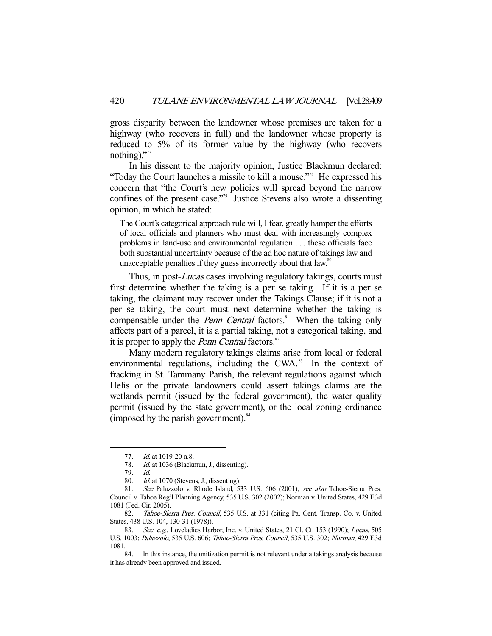gross disparity between the landowner whose premises are taken for a highway (who recovers in full) and the landowner whose property is reduced to 5% of its former value by the highway (who recovers nothing)."77

 In his dissent to the majority opinion, Justice Blackmun declared: "Today the Court launches a missile to kill a mouse."78 He expressed his concern that "the Court's new policies will spread beyond the narrow confines of the present case."<sup>79</sup> Justice Stevens also wrote a dissenting opinion, in which he stated:

The Court's categorical approach rule will, I fear, greatly hamper the efforts of local officials and planners who must deal with increasingly complex problems in land-use and environmental regulation . . . these officials face both substantial uncertainty because of the ad hoc nature of takings law and unacceptable penalties if they guess incorrectly about that law.<sup>80</sup>

Thus, in post-Lucas cases involving regulatory takings, courts must first determine whether the taking is a per se taking. If it is a per se taking, the claimant may recover under the Takings Clause; if it is not a per se taking, the court must next determine whether the taking is compensable under the *Penn Central* factors.<sup>81</sup> When the taking only affects part of a parcel, it is a partial taking, not a categorical taking, and it is proper to apply the *Penn Central* factors.<sup>82</sup>

 Many modern regulatory takings claims arise from local or federal environmental regulations, including the CWA. $^{83}$  In the context of fracking in St. Tammany Parish, the relevant regulations against which Helis or the private landowners could assert takings claims are the wetlands permit (issued by the federal government), the water quality permit (issued by the state government), or the local zoning ordinance (imposed by the parish government). $84$ 

<sup>77.</sup> *Id.* at 1019-20 n.8.

<sup>78.</sup> Id. at 1036 (Blackmun, J., dissenting).

 <sup>79.</sup> Id.

<sup>80.</sup> Id. at 1070 (Stevens, J., dissenting).

 <sup>81.</sup> See Palazzolo v. Rhode Island, 533 U.S. 606 (2001); see also Tahoe-Sierra Pres. Council v. Tahoe Reg'l Planning Agency, 535 U.S. 302 (2002); Norman v. United States, 429 F.3d 1081 (Fed. Cir. 2005).

 <sup>82.</sup> Tahoe-Sierra Pres. Council, 535 U.S. at 331 (citing Pa. Cent. Transp. Co. v. United States, 438 U.S. 104, 130-31 (1978)).

<sup>83.</sup> See, e.g., Loveladies Harbor, Inc. v. United States, 21 Cl. Ct. 153 (1990); Lucas, 505 U.S. 1003; Palazzolo, 535 U.S. 606; Tahoe-Sierra Pres. Council, 535 U.S. 302; Norman, 429 F.3d 1081.

 <sup>84.</sup> In this instance, the unitization permit is not relevant under a takings analysis because it has already been approved and issued.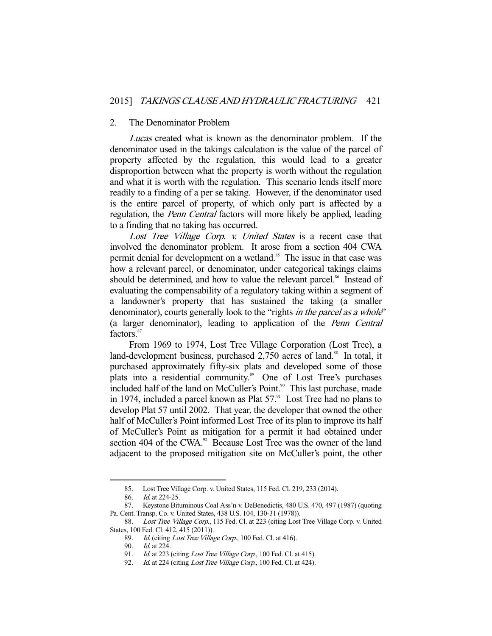#### 2. The Denominator Problem

Lucas created what is known as the denominator problem. If the denominator used in the takings calculation is the value of the parcel of property affected by the regulation, this would lead to a greater disproportion between what the property is worth without the regulation and what it is worth with the regulation. This scenario lends itself more readily to a finding of a per se taking. However, if the denominator used is the entire parcel of property, of which only part is affected by a regulation, the *Penn Central* factors will more likely be applied, leading to a finding that no taking has occurred.

Lost Tree Village Corp. v. United States is a recent case that involved the denominator problem. It arose from a section 404 CWA permit denial for development on a wetland.<sup>85</sup> The issue in that case was how a relevant parcel, or denominator, under categorical takings claims should be determined, and how to value the relevant parcel.<sup>86</sup> Instead of evaluating the compensability of a regulatory taking within a segment of a landowner's property that has sustained the taking (a smaller denominator), courts generally look to the "rights *in the parcel as a whole*" (a larger denominator), leading to application of the Penn Central factors.<sup>87</sup>

 From 1969 to 1974, Lost Tree Village Corporation (Lost Tree), a land-development business, purchased 2,750 acres of land.<sup>88</sup> In total, it purchased approximately fifty-six plats and developed some of those plats into a residential community.<sup>89</sup> One of Lost Tree's purchases included half of the land on McCuller's Point.<sup>90</sup> This last purchase, made in 1974, included a parcel known as Plat  $57<sup>91</sup>$  Lost Tree had no plans to develop Plat 57 until 2002. That year, the developer that owned the other half of McCuller's Point informed Lost Tree of its plan to improve its half of McCuller's Point as mitigation for a permit it had obtained under section 404 of the CWA.<sup>92</sup> Because Lost Tree was the owner of the land adjacent to the proposed mitigation site on McCuller's point, the other

 <sup>85.</sup> Lost Tree Village Corp. v. United States, 115 Fed. Cl. 219, 233 (2014).

 <sup>86.</sup> Id. at 224-25.

 <sup>87.</sup> Keystone Bituminous Coal Ass'n v. DeBenedictis, 480 U.S. 470, 497 (1987) (quoting Pa. Cent. Transp. Co. v. United States, 438 U.S. 104, 130-31 (1978)).

<sup>88.</sup> Lost Tree Village Corp., 115 Fed. Cl. at 223 (citing Lost Tree Village Corp. v. United States, 100 Fed. Cl. 412, 415 (2011)).

<sup>89.</sup> Id. (citing Lost Tree Village Corp., 100 Fed. Cl. at 416).

 <sup>90.</sup> Id. at 224.

<sup>91.</sup> Id. at 223 (citing Lost Tree Village Corp., 100 Fed. Cl. at 415).

<sup>92.</sup> Id. at 224 (citing Lost Tree Village Corp., 100 Fed. Cl. at 424).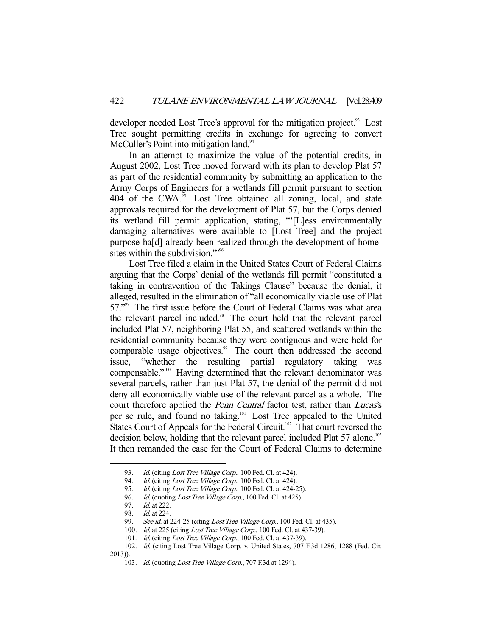developer needed Lost Tree's approval for the mitigation project.<sup>93</sup> Lost Tree sought permitting credits in exchange for agreeing to convert McCuller's Point into mitigation land.<sup>94</sup>

 In an attempt to maximize the value of the potential credits, in August 2002, Lost Tree moved forward with its plan to develop Plat 57 as part of the residential community by submitting an application to the Army Corps of Engineers for a wetlands fill permit pursuant to section 404 of the CWA.<sup>95</sup> Lost Tree obtained all zoning, local, and state approvals required for the development of Plat 57, but the Corps denied its wetland fill permit application, stating, "'[L]ess environmentally damaging alternatives were available to [Lost Tree] and the project purpose ha[d] already been realized through the development of homesites within the subdivision."<sup>96</sup>

 Lost Tree filed a claim in the United States Court of Federal Claims arguing that the Corps' denial of the wetlands fill permit "constituted a taking in contravention of the Takings Clause" because the denial, it alleged, resulted in the elimination of "all economically viable use of Plat 57."<sup>97</sup> The first issue before the Court of Federal Claims was what area the relevant parcel included.<sup>98</sup> The court held that the relevant parcel included Plat 57, neighboring Plat 55, and scattered wetlands within the residential community because they were contiguous and were held for comparable usage objectives.<sup>99</sup> The court then addressed the second issue, "whether the resulting partial regulatory taking was compensable."<sup>100</sup> Having determined that the relevant denominator was several parcels, rather than just Plat 57, the denial of the permit did not deny all economically viable use of the relevant parcel as a whole. The court therefore applied the *Penn Central* factor test, rather than *Lucas's* per se rule, and found no taking.101 Lost Tree appealed to the United States Court of Appeals for the Federal Circuit.<sup>102</sup> That court reversed the decision below, holding that the relevant parcel included Plat 57 alone.<sup>103</sup> It then remanded the case for the Court of Federal Claims to determine

<sup>93.</sup> Id. (citing Lost Tree Village Corp., 100 Fed. Cl. at 424).

<sup>94.</sup> Id. (citing Lost Tree Village Corp., 100 Fed. Cl. at 424).<br>95. Id. (citing Lost Tree Village Corp., 100 Fed. Cl. at 424-2

Id. (citing Lost Tree Village Corp., 100 Fed. Cl. at 424-25).

<sup>96.</sup> Id. (quoting Lost Tree Village Corp., 100 Fed. Cl. at 425).

 <sup>97.</sup> Id. at 222.

 <sup>98.</sup> Id. at 224.

<sup>99.</sup> See id. at 224-25 (citing Lost Tree Village Corp., 100 Fed. Cl. at 435).

<sup>100.</sup> Id. at 225 (citing Lost Tree Village Corp., 100 Fed. Cl. at 437-39).

<sup>101.</sup> Id. (citing Lost Tree Village Corp., 100 Fed. Cl. at 437-39).

 <sup>102.</sup> Id. (citing Lost Tree Village Corp. v. United States, 707 F.3d 1286, 1288 (Fed. Cir. 2013)).

<sup>103.</sup> Id. (quoting Lost Tree Village Corp., 707 F.3d at 1294).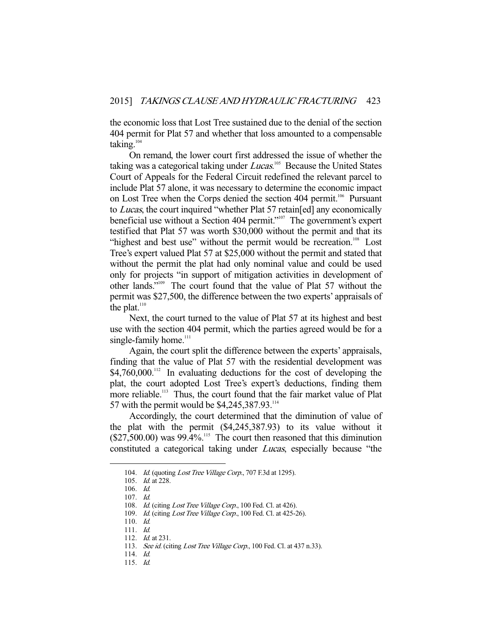the economic loss that Lost Tree sustained due to the denial of the section 404 permit for Plat 57 and whether that loss amounted to a compensable taking. $104$ 

 On remand, the lower court first addressed the issue of whether the taking was a categorical taking under Lucas.<sup>105</sup> Because the United States Court of Appeals for the Federal Circuit redefined the relevant parcel to include Plat 57 alone, it was necessary to determine the economic impact on Lost Tree when the Corps denied the section 404 permit.<sup>106</sup> Pursuant to Lucas, the court inquired "whether Plat 57 retain[ed] any economically beneficial use without a Section 404 permit."<sup>107</sup> The government's expert testified that Plat 57 was worth \$30,000 without the permit and that its "highest and best use" without the permit would be recreation.<sup>108</sup> Lost Tree's expert valued Plat 57 at \$25,000 without the permit and stated that without the permit the plat had only nominal value and could be used only for projects "in support of mitigation activities in development of other lands."109 The court found that the value of Plat 57 without the permit was \$27,500, the difference between the two experts' appraisals of the plat.<sup>110</sup>

 Next, the court turned to the value of Plat 57 at its highest and best use with the section 404 permit, which the parties agreed would be for a single-family home.<sup>111</sup>

 Again, the court split the difference between the experts' appraisals, finding that the value of Plat 57 with the residential development was  $$4,760,000$ .<sup>112</sup> In evaluating deductions for the cost of developing the plat, the court adopted Lost Tree's expert's deductions, finding them more reliable.<sup>113</sup> Thus, the court found that the fair market value of Plat 57 with the permit would be \$4,245,387.93.114

 Accordingly, the court determined that the diminution of value of the plat with the permit (\$4,245,387.93) to its value without it  $($27,500.00)$  was  $99.4\%$ <sup>115</sup>. The court then reasoned that this diminution constituted a categorical taking under Lucas, especially because "the

<sup>104.</sup> Id. (quoting Lost Tree Village Corp., 707 F.3d at 1295).

 <sup>105.</sup> Id. at 228.

 <sup>106.</sup> Id.

 <sup>107.</sup> Id.

<sup>108.</sup> Id. (citing Lost Tree Village Corp., 100 Fed. Cl. at 426).

<sup>109.</sup> Id. (citing Lost Tree Village Corp., 100 Fed. Cl. at 425-26).

 <sup>110.</sup> Id.

 <sup>111.</sup> Id.

<sup>112.</sup> *Id.* at 231.

<sup>113.</sup> See id. (citing Lost Tree Village Corp., 100 Fed. Cl. at 437 n.33).

 <sup>114.</sup> Id.

 <sup>115.</sup> Id.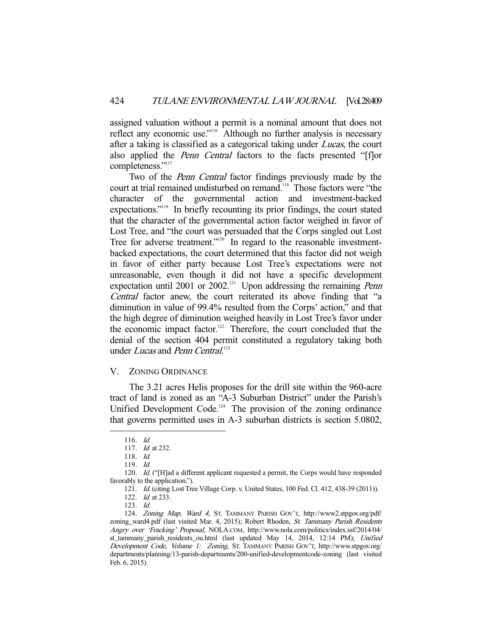assigned valuation without a permit is a nominal amount that does not reflect any economic use."<sup>116</sup> Although no further analysis is necessary after a taking is classified as a categorical taking under *Lucas*, the court also applied the Penn Central factors to the facts presented "[f]or completeness."<sup>117</sup>

 Two of the Penn Central factor findings previously made by the court at trial remained undisturbed on remand.<sup>118</sup> Those factors were "the character of the governmental action and investment-backed expectations."<sup>119</sup> In briefly recounting its prior findings, the court stated that the character of the governmental action factor weighed in favor of Lost Tree, and "the court was persuaded that the Corps singled out Lost Tree for adverse treatment."<sup>120</sup> In regard to the reasonable investmentbacked expectations, the court determined that this factor did not weigh in favor of either party because Lost Tree's expectations were not unreasonable, even though it did not have a specific development expectation until 2001 or 2002.<sup>121</sup> Upon addressing the remaining *Penn* Central factor anew, the court reiterated its above finding that "a diminution in value of 99.4% resulted from the Corps' action," and that the high degree of diminution weighed heavily in Lost Tree's favor under the economic impact factor.<sup>122</sup> Therefore, the court concluded that the denial of the section 404 permit constituted a regulatory taking both under Lucas and Penn Central.<sup>123</sup>

## V. ZONING ORDINANCE

 The 3.21 acres Helis proposes for the drill site within the 960-acre tract of land is zoned as an "A-3 Suburban District" under the Parish's Unified Development Code.<sup>124</sup> The provision of the zoning ordinance that governs permitted uses in A-3 suburban districts is section 5.0802,

 <sup>116.</sup> Id.

<sup>117.</sup> *Id.* at 232.

 <sup>118.</sup> Id.

 <sup>119.</sup> Id.

<sup>120.</sup> Id. ("[H]ad a different applicant requested a permit, the Corps would have responded favorably to the application.").

 <sup>121.</sup> Id. (citing Lost Tree Village Corp. v. United States, 100 Fed. Cl. 412, 438-39 (2011)).

<sup>122.</sup> *Id.* at 233.

 <sup>123.</sup> Id.

 <sup>124.</sup> Zoning Map, Ward 4, ST. TAMMANY PARISH GOV'T, http://www2.stpgov.org/pdf/ zoning\_ward4.pdf (last visited Mar. 4, 2015); Robert Rhoden, St. Tammany Parish Residents Angry over 'Fracking' Proposal, NOLA.COM, http://www.nola.com/politics/index.ssf/2014/04/ st\_tammany\_parish\_residents\_ou.html (last updated May 14, 2014, 12:14 PM); Unified Development Code, Volume 1: Zoning, ST. TAMMANY PARISH GOV'T, http://www.stpgov.org/ departments/planning/13-parish-departments/200-unified-developmentcode-zoning (last visited Feb. 6, 2015).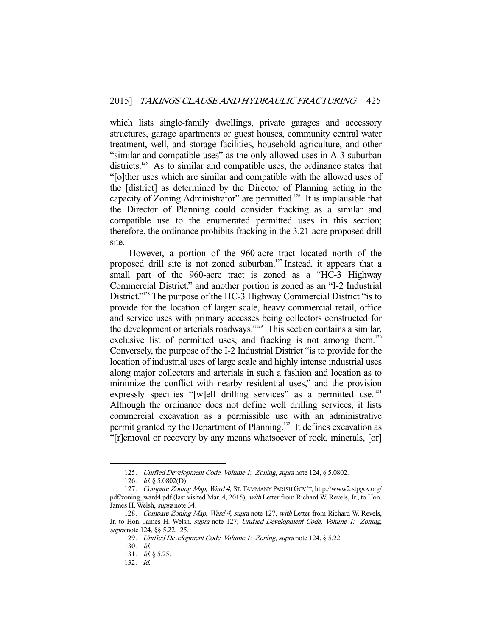which lists single-family dwellings, private garages and accessory structures, garage apartments or guest houses, community central water treatment, well, and storage facilities, household agriculture, and other "similar and compatible uses" as the only allowed uses in A-3 suburban districts.<sup>125</sup> As to similar and compatible uses, the ordinance states that "[o]ther uses which are similar and compatible with the allowed uses of the [district] as determined by the Director of Planning acting in the capacity of Zoning Administrator" are permitted.126 It is implausible that the Director of Planning could consider fracking as a similar and compatible use to the enumerated permitted uses in this section; therefore, the ordinance prohibits fracking in the 3.21-acre proposed drill site.

 However, a portion of the 960-acre tract located north of the proposed drill site is not zoned suburban.<sup>127</sup> Instead, it appears that a small part of the 960-acre tract is zoned as a "HC-3 Highway Commercial District," and another portion is zoned as an "I-2 Industrial District."<sup>128</sup> The purpose of the HC-3 Highway Commercial District "is to provide for the location of larger scale, heavy commercial retail, office and service uses with primary accesses being collectors constructed for the development or arterials roadways."129 This section contains a similar, exclusive list of permitted uses, and fracking is not among them.<sup>130</sup> Conversely, the purpose of the I-2 Industrial District "is to provide for the location of industrial uses of large scale and highly intense industrial uses along major collectors and arterials in such a fashion and location as to minimize the conflict with nearby residential uses," and the provision expressly specifies "[w]ell drilling services" as a permitted use. $^{131}$ Although the ordinance does not define well drilling services, it lists commercial excavation as a permissible use with an administrative permit granted by the Department of Planning.<sup>132</sup> It defines excavation as "[r]emoval or recovery by any means whatsoever of rock, minerals, [or]

<sup>125.</sup> Unified Development Code, Volume 1: Zoning, supra note 124, § 5.0802.

<sup>126.</sup> *Id.* § 5.0802(D).

 <sup>127.</sup> Compare Zoning Map, Ward 4, ST.TAMMANY PARISH GOV'T, http://www2.stpgov.org/ pdf/zoning\_ward4.pdf (last visited Mar. 4, 2015), with Letter from Richard W. Revels, Jr., to Hon. James H. Welsh, supra note 34.

 <sup>128.</sup> Compare Zoning Map, Ward 4, supra note 127, with Letter from Richard W. Revels, Jr. to Hon. James H. Welsh, *supra* note 127; Unified Development Code, Volume 1: Zoning, supra note 124, §§ 5.22, .25.

<sup>129.</sup> Unified Development Code, Volume 1: Zoning, supra note 124, § 5.22.

 <sup>130.</sup> Id.

 <sup>131.</sup> Id. § 5.25.

 <sup>132.</sup> Id.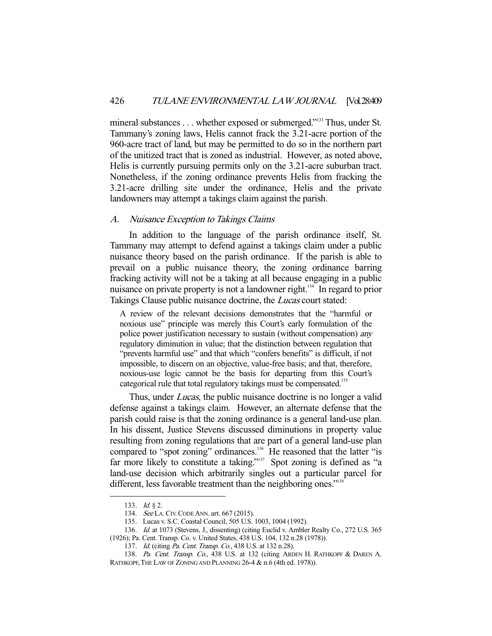mineral substances . . . whether exposed or submerged."<sup>133</sup> Thus, under St. Tammany's zoning laws, Helis cannot frack the 3.21-acre portion of the 960-acre tract of land, but may be permitted to do so in the northern part of the unitized tract that is zoned as industrial. However, as noted above, Helis is currently pursuing permits only on the 3.21-acre suburban tract. Nonetheless, if the zoning ordinance prevents Helis from fracking the 3.21-acre drilling site under the ordinance, Helis and the private landowners may attempt a takings claim against the parish.

## A. Nuisance Exception to Takings Claims

 In addition to the language of the parish ordinance itself, St. Tammany may attempt to defend against a takings claim under a public nuisance theory based on the parish ordinance. If the parish is able to prevail on a public nuisance theory, the zoning ordinance barring fracking activity will not be a taking at all because engaging in a public nuisance on private property is not a landowner right.<sup>134</sup> In regard to prior Takings Clause public nuisance doctrine, the Lucas court stated:

A review of the relevant decisions demonstrates that the "harmful or noxious use" principle was merely this Court's early formulation of the police power justification necessary to sustain (without compensation) any regulatory diminution in value; that the distinction between regulation that "prevents harmful use" and that which "confers benefits" is difficult, if not impossible, to discern on an objective, value-free basis; and that, therefore, noxious-use logic cannot be the basis for departing from this Court's categorical rule that total regulatory takings must be compensated.<sup>135</sup>

Thus, under *Lucas*, the public nuisance doctrine is no longer a valid defense against a takings claim. However, an alternate defense that the parish could raise is that the zoning ordinance is a general land-use plan. In his dissent, Justice Stevens discussed diminutions in property value resulting from zoning regulations that are part of a general land-use plan compared to "spot zoning" ordinances.<sup>136</sup> He reasoned that the latter "is far more likely to constitute a taking."<sup>137</sup> Spot zoning is defined as "a land-use decision which arbitrarily singles out a particular parcel for different, less favorable treatment than the neighboring ones."<sup>138</sup>

<sup>133.</sup> *Id.* § 2.

<sup>134.</sup> See LA. CIV. CODE ANN. art. 667 (2015).

 <sup>135.</sup> Lucas v. S.C. Coastal Council, 505 U.S. 1003, 1004 (1992).

 <sup>136.</sup> Id. at 1073 (Stevens, J., dissenting) (citing Euclid v. Ambler Realty Co., 272 U.S. 365 (1926); Pa. Cent. Transp. Co. v. United States, 438 U.S. 104, 132 n.28 (1978)).

<sup>137.</sup> Id. (citing Pa. Cent. Transp. Co., 438 U.S. at 132 n.28).

<sup>138.</sup> Pa. Cent. Transp. Co., 438 U.S. at 132 (citing ARDEN H. RATHKOPF & DAREN A. RATHKOPF, THE LAW OF ZONING AND PLANNING 26-4 & n.6 (4th ed. 1978)).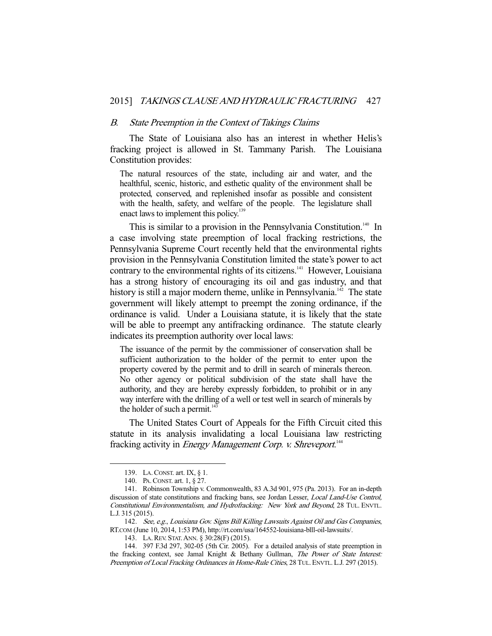#### B. State Preemption in the Context of Takings Claims

 The State of Louisiana also has an interest in whether Helis's fracking project is allowed in St. Tammany Parish. The Louisiana Constitution provides:

The natural resources of the state, including air and water, and the healthful, scenic, historic, and esthetic quality of the environment shall be protected, conserved, and replenished insofar as possible and consistent with the health, safety, and welfare of the people. The legislature shall enact laws to implement this policy.<sup>139</sup>

This is similar to a provision in the Pennsylvania Constitution.<sup>140</sup> In a case involving state preemption of local fracking restrictions, the Pennsylvania Supreme Court recently held that the environmental rights provision in the Pennsylvania Constitution limited the state's power to act contrary to the environmental rights of its citizens.<sup>141</sup> However, Louisiana has a strong history of encouraging its oil and gas industry, and that history is still a major modern theme, unlike in Pennsylvania.<sup>142</sup> The state government will likely attempt to preempt the zoning ordinance, if the ordinance is valid. Under a Louisiana statute, it is likely that the state will be able to preempt any antifracking ordinance. The statute clearly indicates its preemption authority over local laws:

The issuance of the permit by the commissioner of conservation shall be sufficient authorization to the holder of the permit to enter upon the property covered by the permit and to drill in search of minerals thereon. No other agency or political subdivision of the state shall have the authority, and they are hereby expressly forbidden, to prohibit or in any way interfere with the drilling of a well or test well in search of minerals by the holder of such a permit.<sup>143</sup>

 The United States Court of Appeals for the Fifth Circuit cited this statute in its analysis invalidating a local Louisiana law restricting fracking activity in *Energy Management Corp. v. Shreveport*.<sup>144</sup>

 <sup>139.</sup> LA.CONST. art. IX, § 1.

 <sup>140.</sup> PA.CONST. art. 1, § 27.

 <sup>141.</sup> Robinson Township v. Commonwealth, 83 A.3d 901, 975 (Pa. 2013). For an in-depth discussion of state constitutions and fracking bans, see Jordan Lesser, Local Land-Use Control, Constitutional Environmentalism, and Hydrofracking: New York and Beyond, 28 TUL. ENVTL. L.J. 315 (2015).

<sup>142.</sup> See, e.g., Louisiana Gov. Signs Bill Killing Lawsuits Against Oil and Gas Companies, RT.COM (June 10, 2014, 1:53 PM), http://rt.com/usa/164552-louisiana-blll-oil-lawsuits/.

 <sup>143.</sup> LA.REV. STAT.ANN. § 30:28(F) (2015).

 <sup>144. 397</sup> F.3d 297, 302-05 (5th Cir. 2005). For a detailed analysis of state preemption in the fracking context, see Jamal Knight & Bethany Gullman, The Power of State Interest: Preemption of Local Fracking Ordinances in Home-Rule Cities, 28 TUL. ENVTL. L.J. 297 (2015).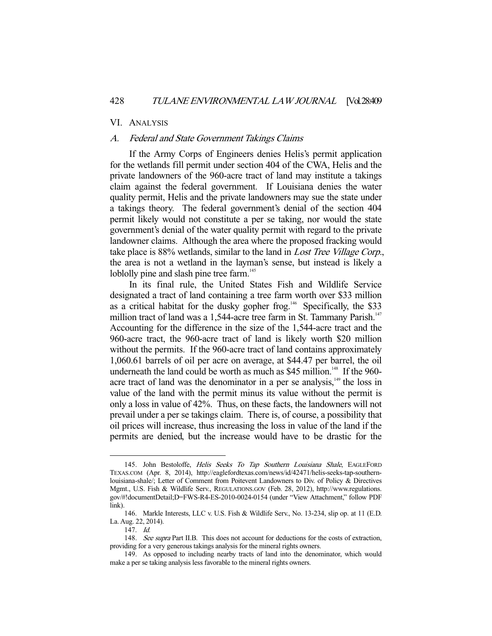#### VI. ANALYSIS

## A. Federal and State Government Takings Claims

 If the Army Corps of Engineers denies Helis's permit application for the wetlands fill permit under section 404 of the CWA, Helis and the private landowners of the 960-acre tract of land may institute a takings claim against the federal government. If Louisiana denies the water quality permit, Helis and the private landowners may sue the state under a takings theory. The federal government's denial of the section 404 permit likely would not constitute a per se taking, nor would the state government's denial of the water quality permit with regard to the private landowner claims. Although the area where the proposed fracking would take place is 88% wetlands, similar to the land in *Lost Tree Village Corp.*, the area is not a wetland in the layman's sense, but instead is likely a loblolly pine and slash pine tree farm.<sup>145</sup>

 In its final rule, the United States Fish and Wildlife Service designated a tract of land containing a tree farm worth over \$33 million as a critical habitat for the dusky gopher frog.<sup>146</sup> Specifically, the \$33 million tract of land was a 1,544-acre tree farm in St. Tammany Parish.<sup>147</sup> Accounting for the difference in the size of the 1,544-acre tract and the 960-acre tract, the 960-acre tract of land is likely worth \$20 million without the permits. If the 960-acre tract of land contains approximately 1,060.61 barrels of oil per acre on average, at \$44.47 per barrel, the oil underneath the land could be worth as much as  $$45$  million.<sup>148</sup> If the 960acre tract of land was the denominator in a per se analysis, $149$  the loss in value of the land with the permit minus its value without the permit is only a loss in value of 42%. Thus, on these facts, the landowners will not prevail under a per se takings claim. There is, of course, a possibility that oil prices will increase, thus increasing the loss in value of the land if the permits are denied, but the increase would have to be drastic for the

<sup>145.</sup> John Bestoloffe, Helis Seeks To Tap Southern Louisiana Shale, EAGLEFORD TEXAS.COM (Apr. 8, 2014), http://eaglefordtexas.com/news/id/42471/helis-seeks-tap-southernlouisiana-shale/; Letter of Comment from Poitevent Landowners to Div. of Policy & Directives Mgmt., U.S. Fish & Wildlife Serv., REGULATIONS.GOV (Feb. 28, 2012), http://www.regulations. gov/#!documentDetail;D=FWS-R4-ES-2010-0024-0154 (under "View Attachment," follow PDF link).

 <sup>146.</sup> Markle Interests, LLC v. U.S. Fish & Wildlife Serv., No. 13-234, slip op. at 11 (E.D. La. Aug. 22, 2014).

 <sup>147.</sup> Id.

<sup>148.</sup> See supra Part II.B. This does not account for deductions for the costs of extraction, providing for a very generous takings analysis for the mineral rights owners.

 <sup>149.</sup> As opposed to including nearby tracts of land into the denominator, which would make a per se taking analysis less favorable to the mineral rights owners.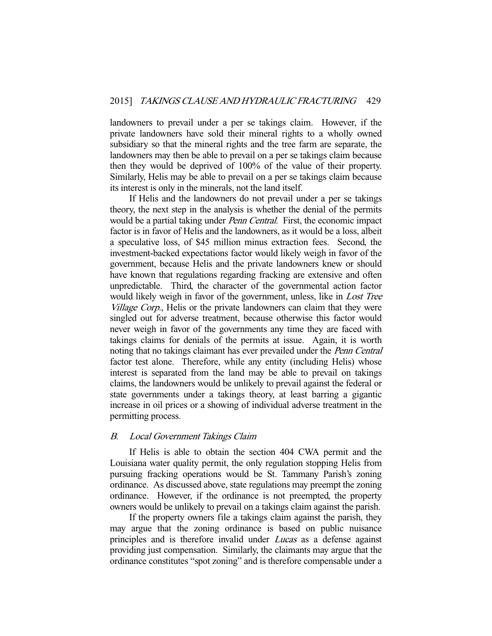landowners to prevail under a per se takings claim. However, if the private landowners have sold their mineral rights to a wholly owned subsidiary so that the mineral rights and the tree farm are separate, the landowners may then be able to prevail on a per se takings claim because then they would be deprived of 100% of the value of their property. Similarly, Helis may be able to prevail on a per se takings claim because its interest is only in the minerals, not the land itself.

 If Helis and the landowners do not prevail under a per se takings theory, the next step in the analysis is whether the denial of the permits would be a partial taking under *Penn Central*. First, the economic impact factor is in favor of Helis and the landowners, as it would be a loss, albeit a speculative loss, of \$45 million minus extraction fees. Second, the investment-backed expectations factor would likely weigh in favor of the government, because Helis and the private landowners knew or should have known that regulations regarding fracking are extensive and often unpredictable. Third, the character of the governmental action factor would likely weigh in favor of the government, unless, like in *Lost Tree* Village Corp., Helis or the private landowners can claim that they were singled out for adverse treatment, because otherwise this factor would never weigh in favor of the governments any time they are faced with takings claims for denials of the permits at issue. Again, it is worth noting that no takings claimant has ever prevailed under the *Penn Central* factor test alone. Therefore, while any entity (including Helis) whose interest is separated from the land may be able to prevail on takings claims, the landowners would be unlikely to prevail against the federal or state governments under a takings theory, at least barring a gigantic increase in oil prices or a showing of individual adverse treatment in the permitting process.

## B. Local Government Takings Claim

 If Helis is able to obtain the section 404 CWA permit and the Louisiana water quality permit, the only regulation stopping Helis from pursuing fracking operations would be St. Tammany Parish's zoning ordinance. As discussed above, state regulations may preempt the zoning ordinance. However, if the ordinance is not preempted, the property owners would be unlikely to prevail on a takings claim against the parish.

 If the property owners file a takings claim against the parish, they may argue that the zoning ordinance is based on public nuisance principles and is therefore invalid under Lucas as a defense against providing just compensation. Similarly, the claimants may argue that the ordinance constitutes "spot zoning" and is therefore compensable under a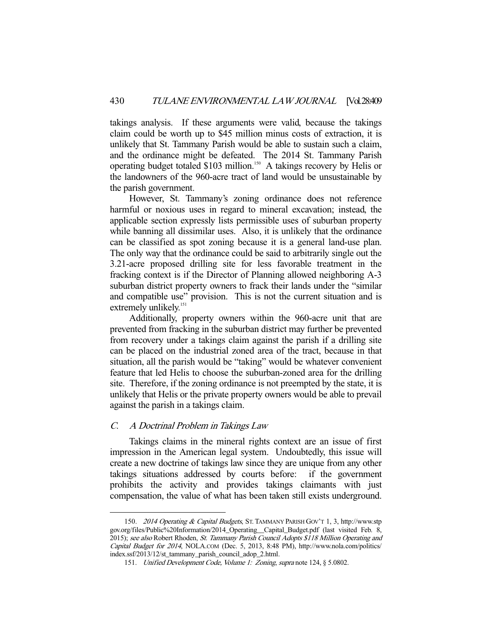takings analysis. If these arguments were valid, because the takings claim could be worth up to \$45 million minus costs of extraction, it is unlikely that St. Tammany Parish would be able to sustain such a claim, and the ordinance might be defeated. The 2014 St. Tammany Parish operating budget totaled \$103 million.<sup>150</sup> A takings recovery by Helis or the landowners of the 960-acre tract of land would be unsustainable by the parish government.

 However, St. Tammany's zoning ordinance does not reference harmful or noxious uses in regard to mineral excavation; instead, the applicable section expressly lists permissible uses of suburban property while banning all dissimilar uses. Also, it is unlikely that the ordinance can be classified as spot zoning because it is a general land-use plan. The only way that the ordinance could be said to arbitrarily single out the 3.21-acre proposed drilling site for less favorable treatment in the fracking context is if the Director of Planning allowed neighboring A-3 suburban district property owners to frack their lands under the "similar and compatible use" provision. This is not the current situation and is extremely unlikely.<sup>151</sup>

 Additionally, property owners within the 960-acre unit that are prevented from fracking in the suburban district may further be prevented from recovery under a takings claim against the parish if a drilling site can be placed on the industrial zoned area of the tract, because in that situation, all the parish would be "taking" would be whatever convenient feature that led Helis to choose the suburban-zoned area for the drilling site. Therefore, if the zoning ordinance is not preempted by the state, it is unlikely that Helis or the private property owners would be able to prevail against the parish in a takings claim.

#### C. A Doctrinal Problem in Takings Law

-

 Takings claims in the mineral rights context are an issue of first impression in the American legal system. Undoubtedly, this issue will create a new doctrine of takings law since they are unique from any other takings situations addressed by courts before: if the government prohibits the activity and provides takings claimants with just compensation, the value of what has been taken still exists underground.

 <sup>150.</sup> 2014 Operating & Capital Budgets, ST. TAMMANY PARISH GOV'T 1, 3, http://www.stp gov.org/files/Public%20Information/2014\_Operating\_\_Capital\_Budget.pdf (last visited Feb. 8, 2015); see also Robert Rhoden, St. Tammany Parish Council Adopts \$118 Million Operating and Capital Budget for 2014, NOLA.COM (Dec. 5, 2013, 8:48 PM), http://www.nola.com/politics/ index.ssf/2013/12/st\_tammany\_parish\_council\_adop\_2.html.

 <sup>151.</sup> Unified Development Code, Volume 1: Zoning, supra note 124, § 5.0802.